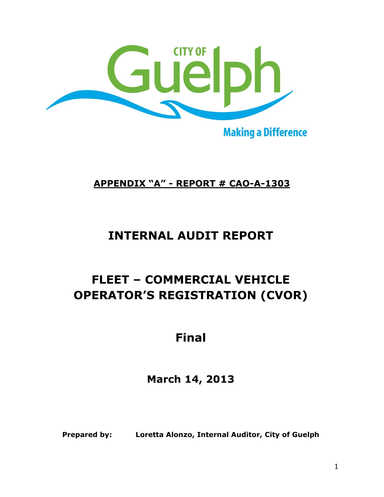

**Making a Difference** 

# **APPENDIX "A" - REPORT # CAO-A-1303**

# **INTERNAL AUDIT REPORT**

# **FLEET – COMMERCIAL VEHICLE OPERATOR'S REGISTRATION (CVOR)**

# **Final**

**March 14, 2013**

**Prepared by: Loretta Alonzo, Internal Auditor, City of Guelph**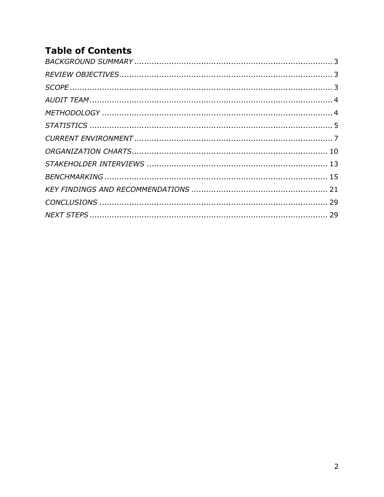# **Table of Contents**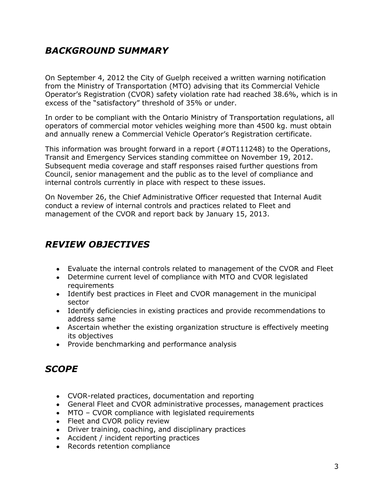## <span id="page-2-0"></span>*BACKGROUND SUMMARY*

On September 4, 2012 the City of Guelph received a written warning notification from the Ministry of Transportation (MTO) advising that its Commercial Vehicle Operator's Registration (CVOR) safety violation rate had reached 38.6%, which is in excess of the "satisfactory" threshold of 35% or under.

In order to be compliant with the Ontario Ministry of Transportation regulations, all operators of commercial motor vehicles weighing more than 4500 kg. must obtain and annually renew a Commercial Vehicle Operator's Registration certificate.

This information was brought forward in a report (#OT111248) to the Operations, Transit and Emergency Services standing committee on November 19, 2012. Subsequent media coverage and staff responses raised further questions from Council, senior management and the public as to the level of compliance and internal controls currently in place with respect to these issues.

On November 26, the Chief Administrative Officer requested that Internal Audit conduct a review of internal controls and practices related to Fleet and management of the CVOR and report back by January 15, 2013.

### <span id="page-2-1"></span>*REVIEW OBJECTIVES*

- Evaluate the internal controls related to management of the CVOR and Fleet
- Determine current level of compliance with MTO and CVOR legislated requirements
- Identify best practices in Fleet and CVOR management in the municipal sector
- Identify deficiencies in existing practices and provide recommendations to address same
- Ascertain whether the existing organization structure is effectively meeting its objectives
- Provide benchmarking and performance analysis

### <span id="page-2-2"></span>*SCOPE*

- CVOR-related practices, documentation and reporting
- General Fleet and CVOR administrative processes, management practices
- MTO CVOR compliance with legislated requirements
- Fleet and CVOR policy review
- Driver training, coaching, and disciplinary practices
- Accident / incident reporting practices
- Records retention compliance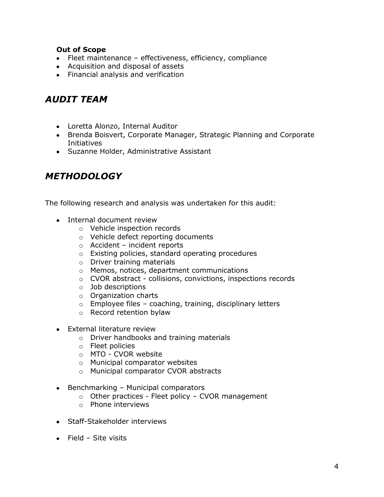#### **Out of Scope**

- Fleet maintenance effectiveness, efficiency, compliance
- Acquisition and disposal of assets
- Financial analysis and verification

### <span id="page-3-0"></span>*AUDIT TEAM*

- Loretta Alonzo, Internal Auditor
- Brenda Boisvert, Corporate Manager, Strategic Planning and Corporate Initiatives
- Suzanne Holder, Administrative Assistant

### <span id="page-3-1"></span>*METHODOLOGY*

The following research and analysis was undertaken for this audit:

- Internal document review
	- o Vehicle inspection records
	- o Vehicle defect reporting documents
	- o Accident incident reports
	- o Existing policies, standard operating procedures
	- o Driver training materials
	- o Memos, notices, department communications
	- o CVOR abstract collisions, convictions, inspections records
	- o Job descriptions
	- o Organization charts
	- $\circ$  Employee files coaching, training, disciplinary letters
	- o Record retention bylaw
- External literature review
	- o Driver handbooks and training materials
	- o Fleet policies
	- o MTO CVOR website
	- o Municipal comparator websites
	- o Municipal comparator CVOR abstracts
- $\bullet$  Benchmarking Municipal comparators
	- $\circ$  Other practices Fleet policy CVOR management
	- o Phone interviews
- Staff-Stakeholder interviews
- $\bullet$  Field Site visits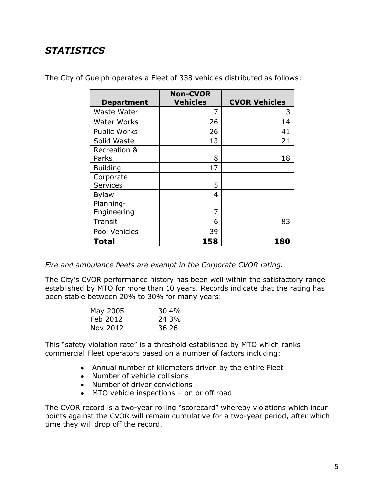# <span id="page-4-0"></span>*STATISTICS*

| <b>Department</b>            | <b>Non-CVOR</b><br><b>Vehicles</b> | <b>CVOR Vehicles</b> |
|------------------------------|------------------------------------|----------------------|
| Waste Water                  | 7                                  | 3                    |
| <b>Water Works</b>           | 26                                 | 14                   |
| <b>Public Works</b>          | 26                                 | 41                   |
| Solid Waste                  | 13                                 | 21                   |
| Recreation &<br>Parks        | 8                                  | 18                   |
| <b>Building</b>              | 17                                 |                      |
| Corporate<br><b>Services</b> | 5                                  |                      |
| <b>Bylaw</b>                 | 4                                  |                      |
| Planning-<br>Engineering     | 7                                  |                      |
| <b>Transit</b>               | 6                                  | 83                   |
| Pool Vehicles                | 39                                 |                      |
| <b>Total</b>                 | 158                                | <b>180</b>           |

The City of Guelph operates a Fleet of 338 vehicles distributed as follows:

*Fire and ambulance fleets are exempt in the Corporate CVOR rating.*

The City's CVOR performance history has been well within the satisfactory range established by MTO for more than 10 years. Records indicate that the rating has been stable between 20% to 30% for many years:

| May 2005 | 30.4% |
|----------|-------|
| Feb 2012 | 24.3% |
| Nov 2012 | 36.26 |

This "safety violation rate" is a threshold established by MTO which ranks commercial Fleet operators based on a number of factors including:

- Annual number of kilometers driven by the entire Fleet
- Number of vehicle collisions
- Number of driver convictions
- MTO vehicle inspections on or off road

The CVOR record is a two-year rolling "scorecard" whereby violations which incur points against the CVOR will remain cumulative for a two-year period, after which time they will drop off the record.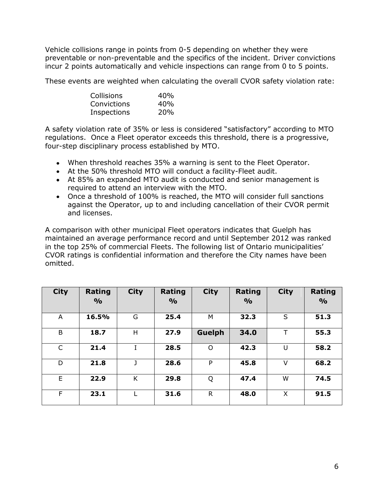Vehicle collisions range in points from 0-5 depending on whether they were preventable or non-preventable and the specifics of the incident. Driver convictions incur 2 points automatically and vehicle inspections can range from 0 to 5 points.

These events are weighted when calculating the overall CVOR safety violation rate:

| Collisions  | 40% |
|-------------|-----|
| Convictions | 40% |
| Inspections | 20% |

A safety violation rate of 35% or less is considered "satisfactory" according to MTO regulations. Once a Fleet operator exceeds this threshold, there is a progressive, four-step disciplinary process established by MTO.

- When threshold reaches 35% a warning is sent to the Fleet Operator.
- At the 50% threshold MTO will conduct a facility-Fleet audit.
- At 85% an expanded MTO audit is conducted and senior management is required to attend an interview with the MTO.
- Once a threshold of 100% is reached, the MTO will consider full sanctions against the Operator, up to and including cancellation of their CVOR permit and licenses.

A comparison with other municipal Fleet operators indicates that Guelph has maintained an average performance record and until September 2012 was ranked in the top 25% of commercial Fleets. The following list of Ontario municipalities' CVOR ratings is confidential information and therefore the City names have been omitted.

| <b>City</b>  | Rating        | <b>City</b> | Rating        | <b>City</b>  | Rating        | <b>City</b> | Rating        |
|--------------|---------------|-------------|---------------|--------------|---------------|-------------|---------------|
|              | $\frac{0}{0}$ |             | $\frac{0}{0}$ |              | $\frac{0}{0}$ |             | $\frac{O}{O}$ |
| A            | 16.5%         | G           | 25.4          | M            | 32.3          | S           | 51.3          |
| B            | 18.7          | н           | 27.9          | Guelph       | 34.0          | т           | 55.3          |
| $\mathsf{C}$ | 21.4          | н.          | 28.5          | $\circ$      | 42.3          | U           | 58.2          |
| D            | 21.8          |             | 28.6          | P            | 45.8          | V           | 68.2          |
| E            | 22.9          | K           | 29.8          | Q            | 47.4          | W           | 74.5          |
| F            | 23.1          |             | 31.6          | $\mathsf{R}$ | 48.0          | X           | 91.5          |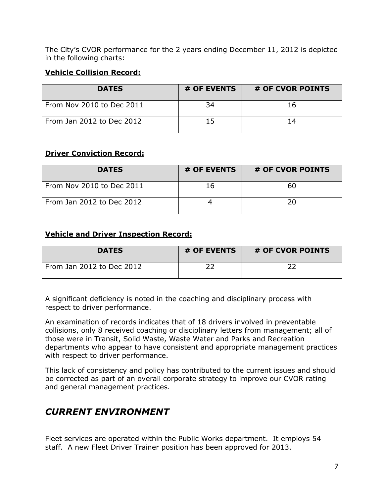The City's CVOR performance for the 2 years ending December 11, 2012 is depicted in the following charts:

#### **Vehicle Collision Record:**

| <b>DATES</b>              | # OF EVENTS | # OF CVOR POINTS |
|---------------------------|-------------|------------------|
| From Nov 2010 to Dec 2011 | 34          | 16               |
| From Jan 2012 to Dec 2012 | 15          | 14               |

#### **Driver Conviction Record:**

| <b>DATES</b>              | # OF EVENTS | # OF CVOR POINTS |
|---------------------------|-------------|------------------|
| From Nov 2010 to Dec 2011 | 16          | 60               |
| From Jan 2012 to Dec 2012 |             | 20               |

#### **Vehicle and Driver Inspection Record:**

| <b>DATES</b>              | # OF EVENTS | # OF CVOR POINTS |
|---------------------------|-------------|------------------|
| From Jan 2012 to Dec 2012 |             |                  |

A significant deficiency is noted in the coaching and disciplinary process with respect to driver performance.

An examination of records indicates that of 18 drivers involved in preventable collisions, only 8 received coaching or disciplinary letters from management; all of those were in Transit, Solid Waste, Waste Water and Parks and Recreation departments who appear to have consistent and appropriate management practices with respect to driver performance.

This lack of consistency and policy has contributed to the current issues and should be corrected as part of an overall corporate strategy to improve our CVOR rating and general management practices.

### <span id="page-6-0"></span>*CURRENT ENVIRONMENT*

Fleet services are operated within the Public Works department. It employs 54 staff. A new Fleet Driver Trainer position has been approved for 2013.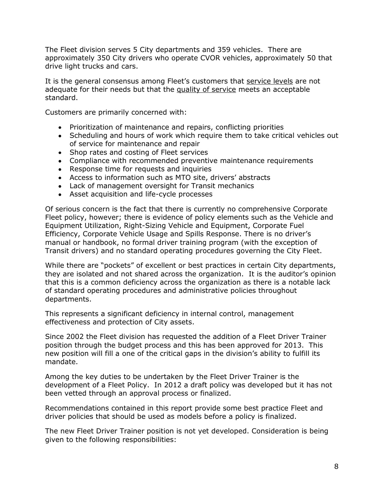The Fleet division serves 5 City departments and 359 vehicles. There are approximately 350 City drivers who operate CVOR vehicles, approximately 50 that drive light trucks and cars.

It is the general consensus among Fleet's customers that service levels are not adequate for their needs but that the quality of service meets an acceptable standard.

Customers are primarily concerned with:

- Prioritization of maintenance and repairs, conflicting priorities
- Scheduling and hours of work which require them to take critical vehicles out of service for maintenance and repair
- $\bullet$ Shop rates and costing of Fleet services
- Compliance with recommended preventive maintenance requirements
- Response time for requests and inquiries
- Access to information such as MTO site, drivers' abstracts
- Lack of management oversight for Transit mechanics
- Asset acquisition and life-cycle processes

Of serious concern is the fact that there is currently no comprehensive Corporate Fleet policy, however; there is evidence of policy elements such as the Vehicle and Equipment Utilization, Right-Sizing Vehicle and Equipment, Corporate Fuel Efficiency, Corporate Vehicle Usage and Spills Response. There is no driver's manual or handbook, no formal driver training program (with the exception of Transit drivers) and no standard operating procedures governing the City Fleet.

While there are "pockets" of excellent or best practices in certain City departments, they are isolated and not shared across the organization. It is the auditor's opinion that this is a common deficiency across the organization as there is a notable lack of standard operating procedures and administrative policies throughout departments.

This represents a significant deficiency in internal control, management effectiveness and protection of City assets.

Since 2002 the Fleet division has requested the addition of a Fleet Driver Trainer position through the budget process and this has been approved for 2013. This new position will fill a one of the critical gaps in the division's ability to fulfill its mandate.

Among the key duties to be undertaken by the Fleet Driver Trainer is the development of a Fleet Policy. In 2012 a draft policy was developed but it has not been vetted through an approval process or finalized.

Recommendations contained in this report provide some best practice Fleet and driver policies that should be used as models before a policy is finalized.

The new Fleet Driver Trainer position is not yet developed. Consideration is being given to the following responsibilities: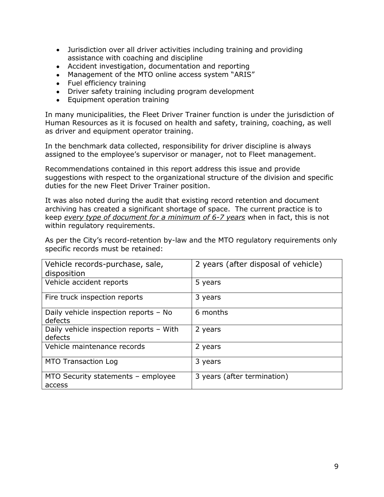- Jurisdiction over all driver activities including training and providing assistance with coaching and discipline
- Accident investigation, documentation and reporting
- Management of the MTO online access system "ARIS"
- Fuel efficiency training
- Driver safety training including program development
- Equipment operation training

In many municipalities, the Fleet Driver Trainer function is under the jurisdiction of Human Resources as it is focused on health and safety, training, coaching, as well as driver and equipment operator training.

In the benchmark data collected, responsibility for driver discipline is always assigned to the employee's supervisor or manager, not to Fleet management.

Recommendations contained in this report address this issue and provide suggestions with respect to the organizational structure of the division and specific duties for the new Fleet Driver Trainer position.

It was also noted during the audit that existing record retention and document archiving has created a significant shortage of space. The current practice is to keep *every type of document for a minimum of 6-7 years* when in fact, this is not within regulatory requirements.

As per the City's record-retention by-law and the MTO regulatory requirements only specific records must be retained:

| Vehicle records-purchase, sale,<br>disposition     | 2 years (after disposal of vehicle) |
|----------------------------------------------------|-------------------------------------|
| Vehicle accident reports                           | 5 years                             |
| Fire truck inspection reports                      | 3 years                             |
| Daily vehicle inspection reports - No<br>defects   | 6 months                            |
| Daily vehicle inspection reports - With<br>defects | 2 years                             |
| Vehicle maintenance records                        | 2 years                             |
| <b>MTO Transaction Log</b>                         | 3 years                             |
| MTO Security statements - employee<br>access       | 3 years (after termination)         |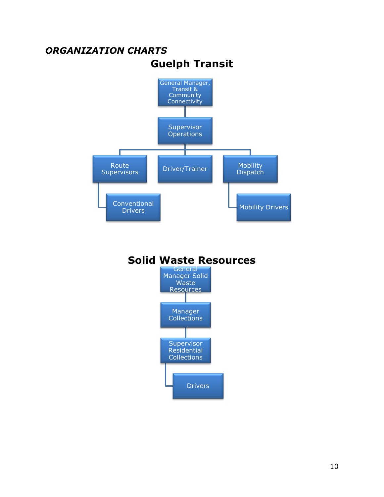<span id="page-9-0"></span>

## **Solid Waste Resources**

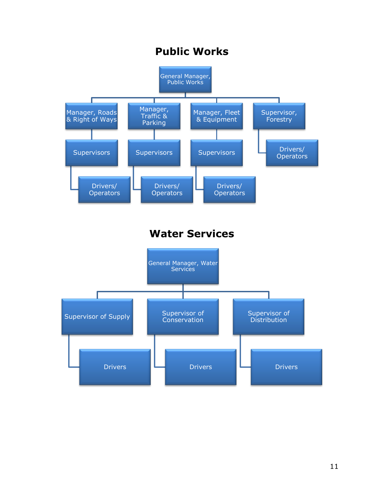# **Public Works**

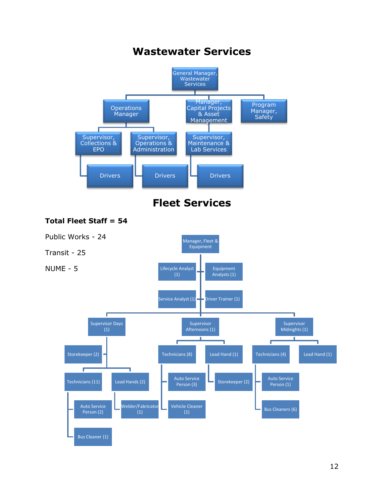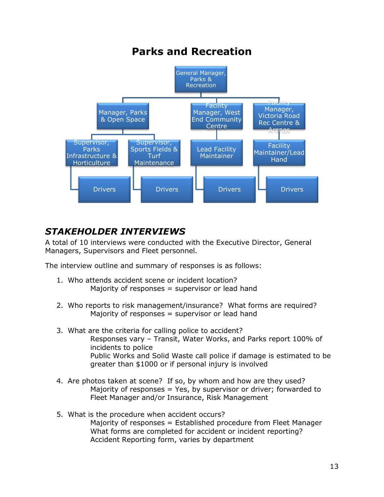

# <span id="page-12-0"></span>*STAKEHOLDER INTERVIEWS*

A total of 10 interviews were conducted with the Executive Director, General Managers, Supervisors and Fleet personnel.

The interview outline and summary of responses is as follows:

- 1. Who attends accident scene or incident location? Majority of responses = supervisor or lead hand
- 2. Who reports to risk management/insurance? What forms are required? Majority of responses  $=$  supervisor or lead hand
- 3. What are the criteria for calling police to accident? Responses vary – Transit, Water Works, and Parks report 100% of incidents to police Public Works and Solid Waste call police if damage is estimated to be greater than \$1000 or if personal injury is involved
- 4. Are photos taken at scene? If so, by whom and how are they used? Majority of responses  $=$  Yes, by supervisor or driver; forwarded to Fleet Manager and/or Insurance, Risk Management
- 5. What is the procedure when accident occurs? Majority of responses = Established procedure from Fleet Manager What forms are completed for accident or incident reporting? Accident Reporting form, varies by department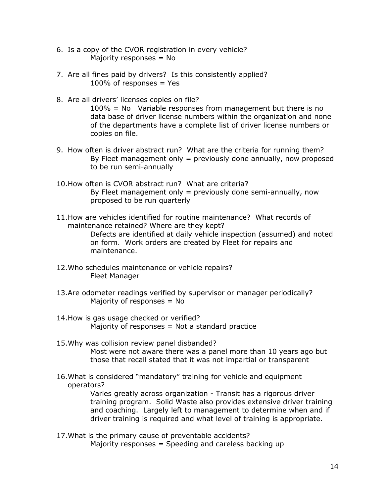- 6. Is a copy of the CVOR registration in every vehicle? Majority responses  $=$  No
- 7. Are all fines paid by drivers? Is this consistently applied?  $100\%$  of responses = Yes
- 8. Are all drivers' licenses copies on file? 100% = No Variable responses from management but there is no data base of driver license numbers within the organization and none of the departments have a complete list of driver license numbers or copies on file.
- 9. How often is driver abstract run? What are the criteria for running them? By Fleet management only  $=$  previously done annually, now proposed to be run semi-annually
- 10.How often is CVOR abstract run? What are criteria? By Fleet management only  $=$  previously done semi-annually, now proposed to be run quarterly
- 11.How are vehicles identified for routine maintenance? What records of maintenance retained? Where are they kept? Defects are identified at daily vehicle inspection (assumed) and noted on form. Work orders are created by Fleet for repairs and maintenance.
- 12.Who schedules maintenance or vehicle repairs? Fleet Manager
- 13.Are odometer readings verified by supervisor or manager periodically? Majority of responses = No
- 14.How is gas usage checked or verified? Majority of responses  $=$  Not a standard practice
- 15.Why was collision review panel disbanded? Most were not aware there was a panel more than 10 years ago but those that recall stated that it was not impartial or transparent
- 16.What is considered "mandatory" training for vehicle and equipment operators?

Varies greatly across organization - Transit has a rigorous driver training program. Solid Waste also provides extensive driver training and coaching. Largely left to management to determine when and if driver training is required and what level of training is appropriate.

17.What is the primary cause of preventable accidents? Majority responses  $=$  Speeding and careless backing up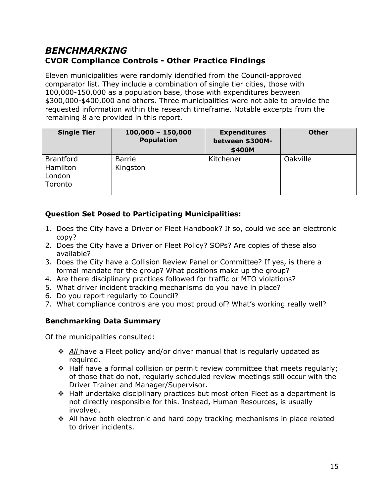### <span id="page-14-0"></span>*BENCHMARKING* **CVOR Compliance Controls - Other Practice Findings**

Eleven municipalities were randomly identified from the Council-approved comparator list. They include a combination of single tier cities, those with 100,000-150,000 as a population base, those with expenditures between \$300,000-\$400,000 and others. Three municipalities were not able to provide the requested information within the research timeframe. Notable excerpts from the remaining 8 are provided in this report.

| <b>Single Tier</b>                                | $100,000 - 150,000$<br><b>Population</b> | <b>Expenditures</b><br>between \$300M-<br>\$400M | <b>Other</b> |
|---------------------------------------------------|------------------------------------------|--------------------------------------------------|--------------|
| <b>Brantford</b><br>Hamilton<br>London<br>Toronto | <b>Barrie</b><br>Kingston                | Kitchener                                        | Oakville     |

#### **Question Set Posed to Participating Municipalities:**

- 1. Does the City have a Driver or Fleet Handbook? If so, could we see an electronic copy?
- 2. Does the City have a Driver or Fleet Policy? SOPs? Are copies of these also available?
- 3. Does the City have a Collision Review Panel or Committee? If yes, is there a formal mandate for the group? What positions make up the group?
- 4. Are there disciplinary practices followed for traffic or MTO violations?
- 5. What driver incident tracking mechanisms do you have in place?
- 6. Do you report regularly to Council?
- 7. What compliance controls are you most proud of? What's working really well?

#### **Benchmarking Data Summary**

Of the municipalities consulted:

- **↑** All have a Fleet policy and/or driver manual that is regularly updated as required.
- $\div$  Half have a formal collision or permit review committee that meets regularly; of those that do not, regularly scheduled review meetings still occur with the Driver Trainer and Manager/Supervisor.
- Half undertake disciplinary practices but most often Fleet as a department is not directly responsible for this. Instead, Human Resources, is usually involved.
- $\div$  All have both electronic and hard copy tracking mechanisms in place related to driver incidents.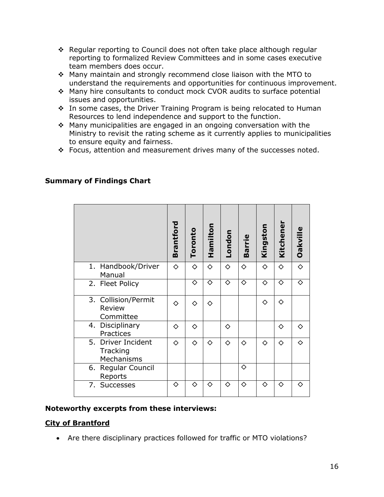- $\cdot$  Regular reporting to Council does not often take place although regular reporting to formalized Review Committees and in some cases executive team members does occur.
- Many maintain and strongly recommend close liaison with the MTO to understand the requirements and opportunities for continuous improvement.
- Many hire consultants to conduct mock CVOR audits to surface potential issues and opportunities.
- In some cases, the Driver Training Program is being relocated to Human Resources to lend independence and support to the function.
- $\div$  Many municipalities are engaged in an ongoing conversation with the Ministry to revisit the rating scheme as it currently applies to municipalities to ensure equity and fairness.
- $\div$  Focus, attention and measurement drives many of the successes noted.

|                                                                          | Brantford  | Toronto               | Hamilton   | London     | <b>Barrie</b>         | Kingston   | Kitchener  | Oakville              |
|--------------------------------------------------------------------------|------------|-----------------------|------------|------------|-----------------------|------------|------------|-----------------------|
| 1. Handbook/Driver<br>Manual                                             | $\Diamond$ | ♦                     | ♦          | $\Diamond$ | ♦                     | $\Diamond$ | $\Diamond$ | $\overline{\diamond}$ |
| 2. Fleet Policy                                                          |            | $\overline{\diamond}$ | ⊽          | ⊽          | $\overline{\diamond}$ | ♦          | ⊽          | ⊽                     |
| 3. Collision/Permit<br>Review<br>Committee                               | ♦          | ♦                     | ♦          |            |                       | ♦          | ♦          |                       |
| Disciplinary<br>4.<br>Practices                                          | ♦          | ♦                     |            | ♦          |                       |            | ♦          | ♦                     |
| 5.<br>Driver Incident<br>Tracking<br>Mechanisms                          | ♦          | ♦                     | ♦          | ♦          | ♦                     | ♦          | ♦          | ♦                     |
| 6. Regular Council<br>Reports                                            |            |                       |            |            | ♦                     |            |            |                       |
| 7. Successes                                                             | ♦          | $\Diamond$            | $\Diamond$ | ♦          | $\Diamond$            | $\Diamond$ | ♦          | ♦                     |
| vorthy excerpts from these interviews:                                   |            |                       |            |            |                       |            |            |                       |
| <u>f Brantford</u>                                                       |            |                       |            |            |                       |            |            |                       |
| Are there disciplinary practices followed for traffic or MTO violations? |            |                       |            |            |                       |            |            |                       |

#### **Summary of Findings Chart**

#### **Noteworthy excerpts from these interviews:**

#### **City of Brantford**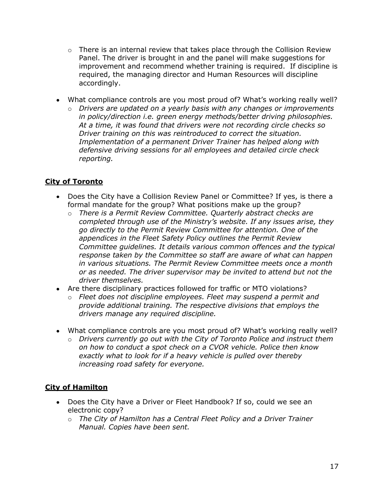- $\circ$  There is an internal review that takes place through the Collision Review Panel. The driver is brought in and the panel will make suggestions for improvement and recommend whether training is required. If discipline is required, the managing director and Human Resources will discipline accordingly.
- What compliance controls are you most proud of? What's working really well?
	- o *Drivers are updated on a yearly basis with any changes or improvements in policy/direction i.e. green energy methods/better driving philosophies. At a time, it was found that drivers were not recording circle checks so Driver training on this was reintroduced to correct the situation. Implementation of a permanent Driver Trainer has helped along with defensive driving sessions for all employees and detailed circle check reporting.*

#### **City of Toronto**

- Does the City have a Collision Review Panel or Committee? If yes, is there a formal mandate for the group? What positions make up the group?
	- o *There is a Permit Review Committee. Quarterly abstract checks are completed through use of the Ministry's website. If any issues arise, they go directly to the Permit Review Committee for attention. One of the appendices in the Fleet Safety Policy outlines the Permit Review Committee guidelines. It details various common offences and the typical response taken by the Committee so staff are aware of what can happen in various situations. The Permit Review Committee meets once a month or as needed. The driver supervisor may be invited to attend but not the driver themselves.*
- Are there disciplinary practices followed for traffic or MTO violations?
	- o *Fleet does not discipline employees. Fleet may suspend a permit and provide additional training. The respective divisions that employs the drivers manage any required discipline.*
- What compliance controls are you most proud of? What's working really well?
	- o *Drivers currently go out with the City of Toronto Police and instruct them on how to conduct a spot check on a CVOR vehicle. Police then know exactly what to look for if a heavy vehicle is pulled over thereby increasing road safety for everyone.*

#### **City of Hamilton**

- Does the City have a Driver or Fleet Handbook? If so, could we see an electronic copy?
	- o *The City of Hamilton has a Central Fleet Policy and a Driver Trainer Manual. Copies have been sent.*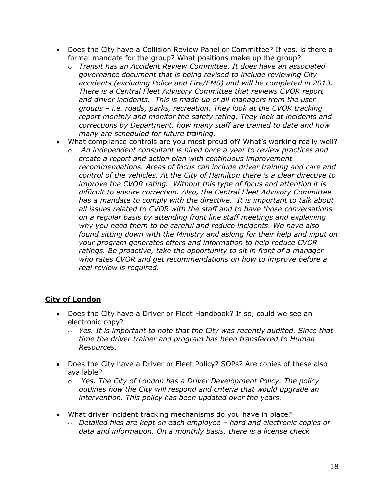- Does the City have a Collision Review Panel or Committee? If yes, is there a formal mandate for the group? What positions make up the group?
	- o *Transit has an Accident Review Committee. It does have an associated governance document that is being revised to include reviewing City accidents (excluding Police and Fire/EMS) and will be completed in 2013. There is a Central Fleet Advisory Committee that reviews CVOR report and driver incidents. This is made up of all managers from the user groups – i.e. roads, parks, recreation. They look at the CVOR tracking report monthly and monitor the safety rating. They look at incidents and corrections by Department, how many staff are trained to date and how many are scheduled for future training.*
- What compliance controls are you most proud of? What's working really well?
	- o *An independent consultant is hired once a year to review practices and create a report and action plan with continuous improvement recommendations. Areas of focus can include driver training and care and control of the vehicles. At the City of Hamilton there is a clear directive to improve the CVOR rating. Without this type of focus and attention it is difficult to ensure correction. Also, the Central Fleet Advisory Committee has a mandate to comply with the directive. It is important to talk about all issues related to CVOR with the staff and to have those conversations on a regular basis by attending front line staff meetings and explaining why you need them to be careful and reduce incidents. We have also found sitting down with the Ministry and asking for their help and input on your program generates offers and information to help reduce CVOR ratings. Be proactive, take the opportunity to sit in front of a manager who rates CVOR and get recommendations on how to improve before a real review is required.*

#### **City of London**

- Does the City have a Driver or Fleet Handbook? If so, could we see an electronic copy?
	- o *Yes. It is important to note that the City was recently audited. Since that time the driver trainer and program has been transferred to Human Resources.*
- Does the City have a Driver or Fleet Policy? SOPs? Are copies of these also available?
	- o *Yes. The City of London has a Driver Development Policy. The policy outlines how the City will respond and criteria that would upgrade an intervention. This policy has been updated over the years.*
- What driver incident tracking mechanisms do you have in place?
	- o *Detailed files are kept on each employee – hard and electronic copies of data and information. On a monthly basis, there is a license check*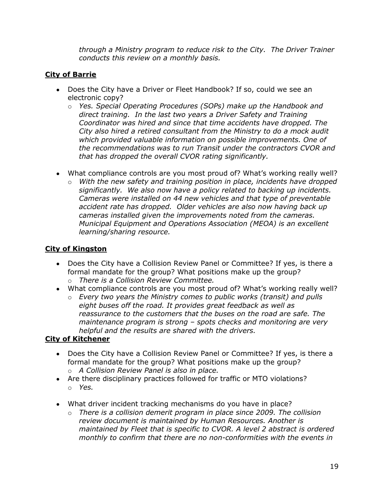*through a Ministry program to reduce risk to the City. The Driver Trainer conducts this review on a monthly basis.* 

#### **City of Barrie**

- Does the City have a Driver or Fleet Handbook? If so, could we see an electronic copy?
	- o *Yes. Special Operating Procedures (SOPs) make up the Handbook and direct training. In the last two years a Driver Safety and Training Coordinator was hired and since that time accidents have dropped. The City also hired a retired consultant from the Ministry to do a mock audit which provided valuable information on possible improvements. One of the recommendations was to run Transit under the contractors CVOR and that has dropped the overall CVOR rating significantly.*
- What compliance controls are you most proud of? What's working really well?
	- o *With the new safety and training position in place, incidents have dropped significantly. We also now have a policy related to backing up incidents. Cameras were installed on 44 new vehicles and that type of preventable accident rate has dropped. Older vehicles are also now having back up cameras installed given the improvements noted from the cameras. Municipal Equipment and Operations Association (MEOA) is an excellent learning/sharing resource.*

#### **City of Kingston**

- Does the City have a Collision Review Panel or Committee? If yes, is there a formal mandate for the group? What positions make up the group? o *There is a Collision Review Committee.*
- What compliance controls are you most proud of? What's working really well?
	- o *Every two years the Ministry comes to public works (transit) and pulls eight buses off the road. It provides great feedback as well as reassurance to the customers that the buses on the road are safe. The maintenance program is strong – spots checks and monitoring are very helpful and the results are shared with the drivers.*

#### **City of Kitchener**

- Does the City have a Collision Review Panel or Committee? If yes, is there a formal mandate for the group? What positions make up the group? o *A Collision Review Panel is also in place.*
- Are there disciplinary practices followed for traffic or MTO violations? o *Yes.*
- What driver incident tracking mechanisms do you have in place?
	- o *There is a collision demerit program in place since 2009. The collision review document is maintained by Human Resources. Another is maintained by Fleet that is specific to CVOR. A level 2 abstract is ordered monthly to confirm that there are no non-conformities with the events in*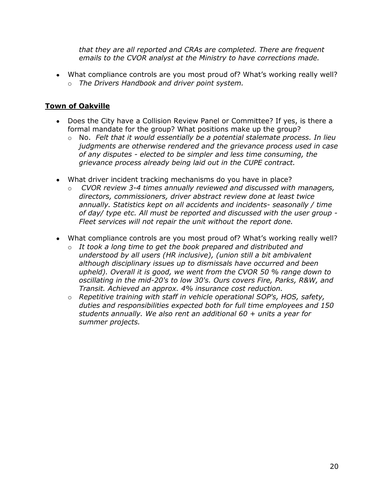*that they are all reported and CRAs are completed. There are frequent emails to the CVOR analyst at the Ministry to have corrections made.* 

What compliance controls are you most proud of? What's working really well? o *The Drivers Handbook and driver point system.* 

#### **Town of Oakville**

- Does the City have a Collision Review Panel or Committee? If yes, is there a formal mandate for the group? What positions make up the group?
	- o No. *Felt that it would essentially be a potential stalemate process. In lieu judgments are otherwise rendered and the grievance process used in case of any disputes - elected to be simpler and less time consuming, the grievance process already being laid out in the CUPE contract.*
- What driver incident tracking mechanisms do you have in place?
	- o *CVOR review 3-4 times annually reviewed and discussed with managers, directors, commissioners, driver abstract review done at least twice annually. Statistics kept on all accidents and incidents- seasonally / time of day/ type etc. All must be reported and discussed with the user group - Fleet services will not repair the unit without the report done.*
- What compliance controls are you most proud of? What's working really well?
	- o *It took a long time to get the book prepared and distributed and understood by all users (HR inclusive), (union still a bit ambivalent although disciplinary issues up to dismissals have occurred and been upheld). Overall it is good, we went from the CVOR 50 % range down to oscillating in the mid-20's to low 30's. Ours covers Fire, Parks, R&W, and Transit. Achieved an approx. 4% insurance cost reduction.*
	- o *Repetitive training with staff in vehicle operational SOP's, HOS, safety, duties and responsibilities expected both for full time employees and 150 students annually. We also rent an additional 60 + units a year for summer projects.*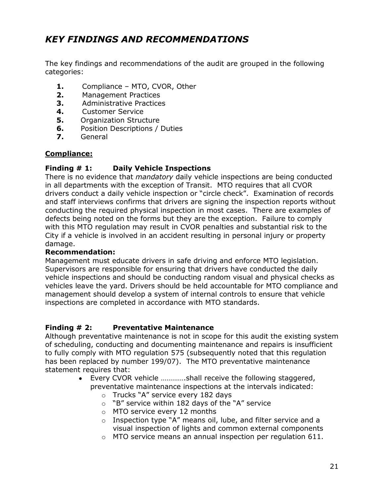# <span id="page-20-0"></span>*KEY FINDINGS AND RECOMMENDATIONS*

The key findings and recommendations of the audit are grouped in the following categories:

- **1.** Compliance MTO, CVOR, Other
- **2.** Management Practices
- **3.** Administrative Practices
- **4.** Customer Service
- **5.** Organization Structure
- **6.** Position Descriptions / Duties
- **7.** General

#### **Compliance:**

#### **Finding # 1: Daily Vehicle Inspections**

There is no evidence that *mandatory* daily vehicle inspections are being conducted in all departments with the exception of Transit. MTO requires that all CVOR drivers conduct a daily vehicle inspection or "circle check". Examination of records and staff interviews confirms that drivers are signing the inspection reports without conducting the required physical inspection in most cases. There are examples of defects being noted on the forms but they are the exception. Failure to comply with this MTO regulation may result in CVOR penalties and substantial risk to the City if a vehicle is involved in an accident resulting in personal injury or property damage.

#### **Recommendation:**

Management must educate drivers in safe driving and enforce MTO legislation. Supervisors are responsible for ensuring that drivers have conducted the daily vehicle inspections and should be conducting random visual and physical checks as vehicles leave the yard. Drivers should be held accountable for MTO compliance and management should develop a system of internal controls to ensure that vehicle inspections are completed in accordance with MTO standards.

#### **Finding # 2: Preventative Maintenance**

Although preventative maintenance is not in scope for this audit the existing system of scheduling, conducting and documenting maintenance and repairs is insufficient to fully comply with MTO regulation 575 (subsequently noted that this regulation has been replaced by number 199/07). The MTO preventative maintenance statement requires that:

- $\bullet$ Every CVOR vehicle ………….shall receive the following staggered, preventative maintenance inspections at the intervals indicated:
	- o Trucks "A" service every 182 days
	- o "B" service within 182 days of the "A" service
	- o MTO service every 12 months
	- o Inspection type "A" means oil, lube, and filter service and a visual inspection of lights and common external components
	- o MTO service means an annual inspection per regulation 611.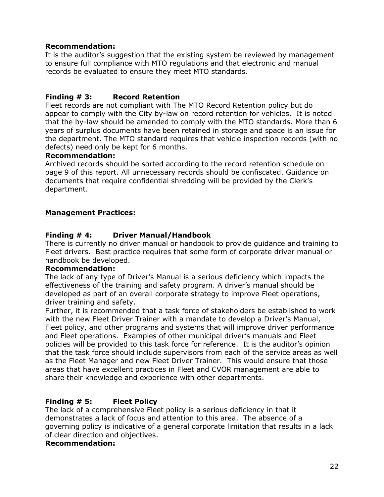#### **Recommendation:**

It is the auditor's suggestion that the existing system be reviewed by management to ensure full compliance with MTO regulations and that electronic and manual records be evaluated to ensure they meet MTO standards.

#### **Finding # 3: Record Retention**

Fleet records are not compliant with The MTO Record Retention policy but do appear to comply with the City by-law on record retention for vehicles. It is noted that the by-law should be amended to comply with the MTO standards. More than 6 years of surplus documents have been retained in storage and space is an issue for the department. The MTO standard requires that vehicle inspection records (with no defects) need only be kept for 6 months.

#### **Recommendation:**

Archived records should be sorted according to the record retention schedule on page 9 of this report. All unnecessary records should be confiscated. Guidance on documents that require confidential shredding will be provided by the Clerk's department.

#### **Management Practices:**

#### **Finding # 4: Driver Manual/Handbook**

There is currently no driver manual or handbook to provide guidance and training to Fleet drivers. Best practice requires that some form of corporate driver manual or handbook be developed.

#### **Recommendation:**

The lack of any type of Driver's Manual is a serious deficiency which impacts the effectiveness of the training and safety program. A driver's manual should be developed as part of an overall corporate strategy to improve Fleet operations, driver training and safety.

Further, it is recommended that a task force of stakeholders be established to work with the new Fleet Driver Trainer with a mandate to develop a Driver's Manual, Fleet policy, and other programs and systems that will improve driver performance and Fleet operations. Examples of other municipal driver's manuals and Fleet policies will be provided to this task force for reference. It is the auditor's opinion that the task force should include supervisors from each of the service areas as well as the Fleet Manager and new Fleet Driver Trainer. This would ensure that those areas that have excellent practices in Fleet and CVOR management are able to share their knowledge and experience with other departments.

#### **Finding # 5: Fleet Policy**

The lack of a comprehensive Fleet policy is a serious deficiency in that it demonstrates a lack of focus and attention to this area. The absence of a governing policy is indicative of a general corporate limitation that results in a lack of clear direction and objectives.

#### **Recommendation:**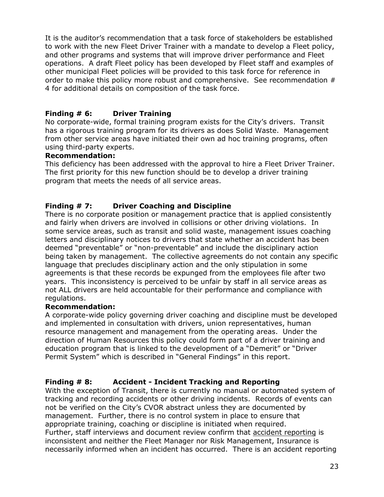It is the auditor's recommendation that a task force of stakeholders be established to work with the new Fleet Driver Trainer with a mandate to develop a Fleet policy, and other programs and systems that will improve driver performance and Fleet operations. A draft Fleet policy has been developed by Fleet staff and examples of other municipal Fleet policies will be provided to this task force for reference in order to make this policy more robust and comprehensive. See recommendation # 4 for additional details on composition of the task force.

#### **Finding # 6: Driver Training**

No corporate-wide, formal training program exists for the City's drivers. Transit has a rigorous training program for its drivers as does Solid Waste. Management from other service areas have initiated their own ad hoc training programs, often using third-party experts.

#### **Recommendation:**

This deficiency has been addressed with the approval to hire a Fleet Driver Trainer. The first priority for this new function should be to develop a driver training program that meets the needs of all service areas.

#### **Finding # 7: Driver Coaching and Discipline**

There is no corporate position or management practice that is applied consistently and fairly when drivers are involved in collisions or other driving violations. In some service areas, such as transit and solid waste, management issues coaching letters and disciplinary notices to drivers that state whether an accident has been deemed "preventable" or "non-preventable" and include the disciplinary action being taken by management. The collective agreements do not contain any specific language that precludes disciplinary action and the only stipulation in some agreements is that these records be expunged from the employees file after two years. This inconsistency is perceived to be unfair by staff in all service areas as not ALL drivers are held accountable for their performance and compliance with regulations.

#### **Recommendation:**

A corporate-wide policy governing driver coaching and discipline must be developed and implemented in consultation with drivers, union representatives, human resource management and management from the operating areas. Under the direction of Human Resources this policy could form part of a driver training and education program that is linked to the development of a "Demerit" or "Driver Permit System" which is described in "General Findings" in this report.

#### **Finding # 8: Accident - Incident Tracking and Reporting**

With the exception of Transit, there is currently no manual or automated system of tracking and recording accidents or other driving incidents. Records of events can not be verified on the City's CVOR abstract unless they are documented by management. Further, there is no control system in place to ensure that appropriate training, coaching or discipline is initiated when required. Further, staff interviews and document review confirm that accident reporting is inconsistent and neither the Fleet Manager nor Risk Management, Insurance is necessarily informed when an incident has occurred. There is an accident reporting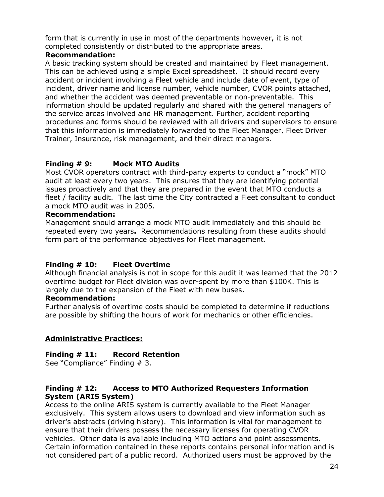form that is currently in use in most of the departments however, it is not completed consistently or distributed to the appropriate areas.

#### **Recommendation:**

A basic tracking system should be created and maintained by Fleet management. This can be achieved using a simple Excel spreadsheet. It should record every accident or incident involving a Fleet vehicle and include date of event, type of incident, driver name and license number, vehicle number, CVOR points attached, and whether the accident was deemed preventable or non-preventable. This information should be updated regularly and shared with the general managers of the service areas involved and HR management. Further, accident reporting procedures and forms should be reviewed with all drivers and supervisors to ensure that this information is immediately forwarded to the Fleet Manager, Fleet Driver Trainer, Insurance, risk management, and their direct managers.

#### **Finding # 9: Mock MTO Audits**

Most CVOR operators contract with third-party experts to conduct a "mock" MTO audit at least every two years. This ensures that they are identifying potential issues proactively and that they are prepared in the event that MTO conducts a fleet / facility audit. The last time the City contracted a Fleet consultant to conduct a mock MTO audit was in 2005.

#### **Recommendation:**

Management should arrange a mock MTO audit immediately and this should be repeated every two years**.** Recommendations resulting from these audits should form part of the performance objectives for Fleet management.

#### **Finding # 10: Fleet Overtime**

Although financial analysis is not in scope for this audit it was learned that the 2012 overtime budget for Fleet division was over-spent by more than \$100K. This is largely due to the expansion of the Fleet with new buses.

#### **Recommendation:**

Further analysis of overtime costs should be completed to determine if reductions are possible by shifting the hours of work for mechanics or other efficiencies.

#### **Administrative Practices:**

#### **Finding # 11: Record Retention**

See "Compliance" Finding # 3.

#### **Finding # 12: Access to MTO Authorized Requesters Information System (ARIS System)**

Access to the online ARIS system is currently available to the Fleet Manager exclusively. This system allows users to download and view information such as driver's abstracts (driving history). This information is vital for management to ensure that their drivers possess the necessary licenses for operating CVOR vehicles. Other data is available including MTO actions and point assessments. Certain information contained in these reports contains personal information and is not considered part of a public record. Authorized users must be approved by the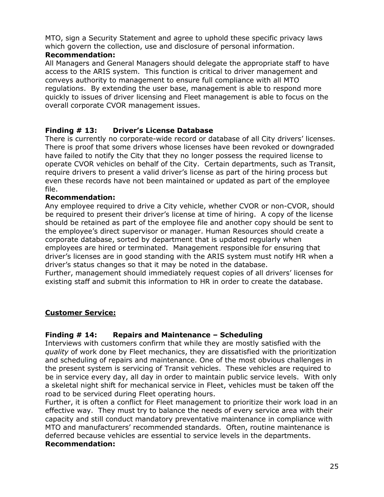MTO, sign a Security Statement and agree to uphold these specific privacy laws which govern the collection, use and disclosure of personal information.

#### **Recommendation:**

All Managers and General Managers should delegate the appropriate staff to have access to the ARIS system. This function is critical to driver management and conveys authority to management to ensure full compliance with all MTO regulations. By extending the user base, management is able to respond more quickly to issues of driver licensing and Fleet management is able to focus on the overall corporate CVOR management issues.

#### **Finding # 13: Driver's License Database**

There is currently no corporate-wide record or database of all City drivers' licenses. There is proof that some drivers whose licenses have been revoked or downgraded have failed to notify the City that they no longer possess the required license to operate CVOR vehicles on behalf of the City. Certain departments, such as Transit, require drivers to present a valid driver's license as part of the hiring process but even these records have not been maintained or updated as part of the employee file.

#### **Recommendation:**

Any employee required to drive a City vehicle, whether CVOR or non-CVOR, should be required to present their driver's license at time of hiring. A copy of the license should be retained as part of the employee file and another copy should be sent to the employee's direct supervisor or manager. Human Resources should create a corporate database, sorted by department that is updated regularly when employees are hired or terminated. Management responsible for ensuring that driver's licenses are in good standing with the ARIS system must notify HR when a driver's status changes so that it may be noted in the database.

Further, management should immediately request copies of all drivers' licenses for existing staff and submit this information to HR in order to create the database.

#### **Customer Service:**

#### **Finding # 14: Repairs and Maintenance – Scheduling**

Interviews with customers confirm that while they are mostly satisfied with the *quality* of work done by Fleet mechanics, they are dissatisfied with the prioritization and scheduling of repairs and maintenance. One of the most obvious challenges in the present system is servicing of Transit vehicles. These vehicles are required to be in service every day, all day in order to maintain public service levels. With only a skeletal night shift for mechanical service in Fleet, vehicles must be taken off the road to be serviced during Fleet operating hours.

Further, it is often a conflict for Fleet management to prioritize their work load in an effective way. They must try to balance the needs of every service area with their capacity and still conduct mandatory preventative maintenance in compliance with MTO and manufacturers' recommended standards. Often, routine maintenance is deferred because vehicles are essential to service levels in the departments. **Recommendation:**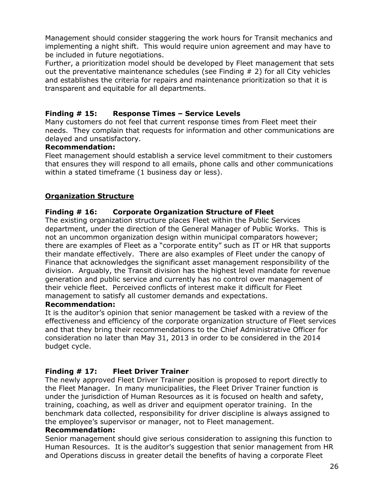Management should consider staggering the work hours for Transit mechanics and implementing a night shift. This would require union agreement and may have to be included in future negotiations.

Further, a prioritization model should be developed by Fleet management that sets out the preventative maintenance schedules (see Finding # 2) for all City vehicles and establishes the criteria for repairs and maintenance prioritization so that it is transparent and equitable for all departments.

#### **Finding # 15: Response Times – Service Levels**

Many customers do not feel that current response times from Fleet meet their needs. They complain that requests for information and other communications are delayed and unsatisfactory.

#### **Recommendation:**

Fleet management should establish a service level commitment to their customers that ensures they will respond to all emails, phone calls and other communications within a stated timeframe (1 business day or less).

#### **Organization Structure**

#### **Finding # 16: Corporate Organization Structure of Fleet**

The existing organization structure places Fleet within the Public Services department, under the direction of the General Manager of Public Works. This is not an uncommon organization design within municipal comparators however; there are examples of Fleet as a "corporate entity" such as IT or HR that supports their mandate effectively. There are also examples of Fleet under the canopy of Finance that acknowledges the significant asset management responsibility of the division. Arguably, the Transit division has the highest level mandate for revenue generation and public service and currently has no control over management of their vehicle fleet. Perceived conflicts of interest make it difficult for Fleet management to satisfy all customer demands and expectations.

#### **Recommendation:**

It is the auditor's opinion that senior management be tasked with a review of the effectiveness and efficiency of the corporate organization structure of Fleet services and that they bring their recommendations to the Chief Administrative Officer for consideration no later than May 31, 2013 in order to be considered in the 2014 budget cycle.

#### **Finding # 17: Fleet Driver Trainer**

The newly approved Fleet Driver Trainer position is proposed to report directly to the Fleet Manager. In many municipalities, the Fleet Driver Trainer function is under the jurisdiction of Human Resources as it is focused on health and safety, training, coaching, as well as driver and equipment operator training. In the benchmark data collected, responsibility for driver discipline is always assigned to the employee's supervisor or manager, not to Fleet management.

#### **Recommendation:**

Senior management should give serious consideration to assigning this function to Human Resources. It is the auditor's suggestion that senior management from HR and Operations discuss in greater detail the benefits of having a corporate Fleet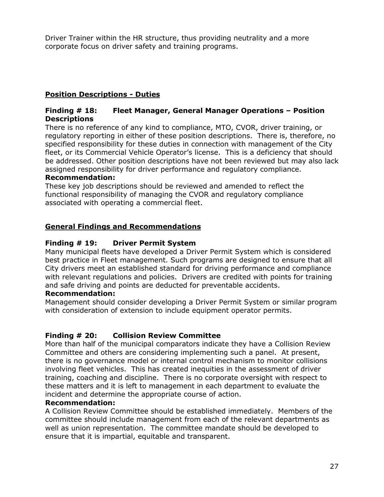Driver Trainer within the HR structure, thus providing neutrality and a more corporate focus on driver safety and training programs.

#### **Position Descriptions - Duties**

#### **Finding # 18: Fleet Manager, General Manager Operations – Position Descriptions**

There is no reference of any kind to compliance, MTO, CVOR, driver training, or regulatory reporting in either of these position descriptions. There is, therefore, no specified responsibility for these duties in connection with management of the City fleet, or its Commercial Vehicle Operator's license. This is a deficiency that should be addressed. Other position descriptions have not been reviewed but may also lack assigned responsibility for driver performance and regulatory compliance.

#### **Recommendation:**

These key job descriptions should be reviewed and amended to reflect the functional responsibility of managing the CVOR and regulatory compliance associated with operating a commercial fleet.

#### **General Findings and Recommendations**

#### **Finding # 19: Driver Permit System**

Many municipal fleets have developed a Driver Permit System which is considered best practice in Fleet management. Such programs are designed to ensure that all City drivers meet an established standard for driving performance and compliance with relevant regulations and policies. Drivers are credited with points for training and safe driving and points are deducted for preventable accidents.

#### **Recommendation:**

Management should consider developing a Driver Permit System or similar program with consideration of extension to include equipment operator permits.

#### **Finding # 20: Collision Review Committee**

More than half of the municipal comparators indicate they have a Collision Review Committee and others are considering implementing such a panel. At present, there is no governance model or internal control mechanism to monitor collisions involving fleet vehicles. This has created inequities in the assessment of driver training, coaching and discipline. There is no corporate oversight with respect to these matters and it is left to management in each department to evaluate the incident and determine the appropriate course of action.

#### **Recommendation:**

A Collision Review Committee should be established immediately. Members of the committee should include management from each of the relevant departments as well as union representation. The committee mandate should be developed to ensure that it is impartial, equitable and transparent.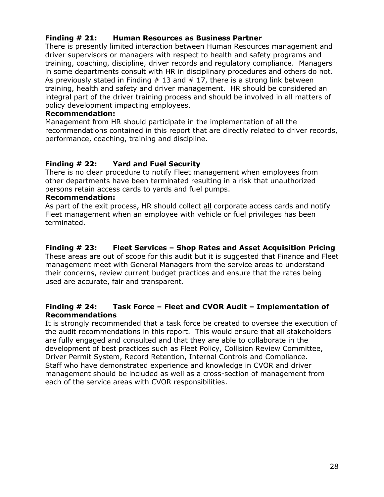#### **Finding # 21: Human Resources as Business Partner**

There is presently limited interaction between Human Resources management and driver supervisors or managers with respect to health and safety programs and training, coaching, discipline, driver records and regulatory compliance. Managers in some departments consult with HR in disciplinary procedures and others do not. As previously stated in Finding  $# 13$  and  $# 17$ , there is a strong link between training, health and safety and driver management. HR should be considered an integral part of the driver training process and should be involved in all matters of policy development impacting employees.

#### **Recommendation:**

Management from HR should participate in the implementation of all the recommendations contained in this report that are directly related to driver records, performance, coaching, training and discipline.

#### **Finding # 22: Yard and Fuel Security**

There is no clear procedure to notify Fleet management when employees from other departments have been terminated resulting in a risk that unauthorized persons retain access cards to yards and fuel pumps.

#### **Recommendation:**

As part of the exit process, HR should collect all corporate access cards and notify Fleet management when an employee with vehicle or fuel privileges has been terminated.

#### **Finding # 23: Fleet Services – Shop Rates and Asset Acquisition Pricing**

These areas are out of scope for this audit but it is suggested that Finance and Fleet management meet with General Managers from the service areas to understand their concerns, review current budget practices and ensure that the rates being used are accurate, fair and transparent.

#### **Finding # 24: Task Force – Fleet and CVOR Audit – Implementation of Recommendations**

It is strongly recommended that a task force be created to oversee the execution of the audit recommendations in this report. This would ensure that all stakeholders are fully engaged and consulted and that they are able to collaborate in the development of best practices such as Fleet Policy, Collision Review Committee, Driver Permit System, Record Retention, Internal Controls and Compliance. Staff who have demonstrated experience and knowledge in CVOR and driver management should be included as well as a cross-section of management from each of the service areas with CVOR responsibilities.